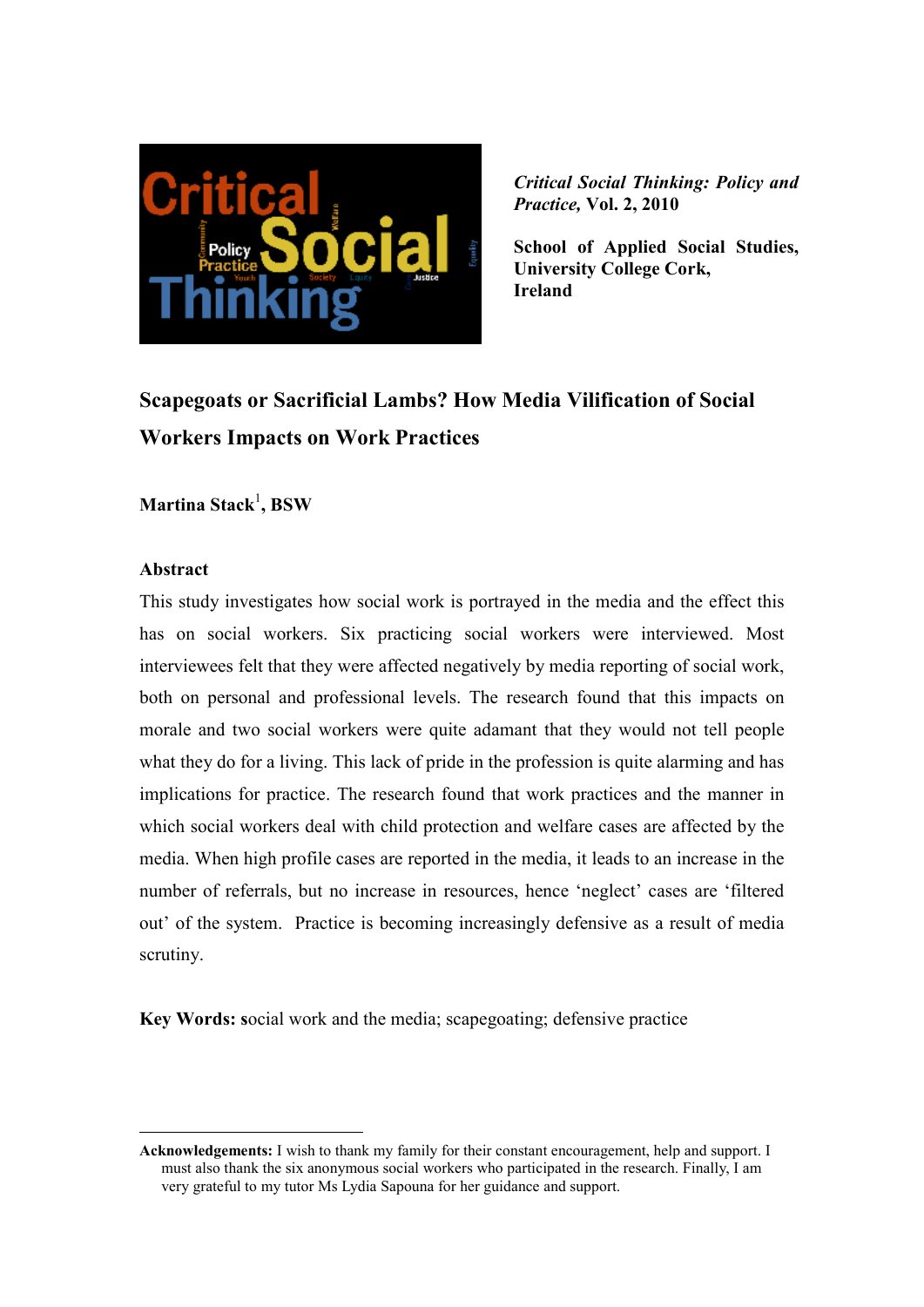

*Critical Social Thinking: Policy and Practice,* **Vol. 2, 2010** 

**School of Applied Social Studies, University College Cork, Ireland** 

# **Scapegoats or Sacrificial Lambs? How Media Vilification of Social Workers Impacts on Work Practices**

**Martina Stack**<sup>1</sup> **, BSW**

#### **Abstract**

 $\overline{a}$ 

This study investigates how social work is portrayed in the media and the effect this has on social workers. Six practicing social workers were interviewed. Most interviewees felt that they were affected negatively by media reporting of social work, both on personal and professional levels. The research found that this impacts on morale and two social workers were quite adamant that they would not tell people what they do for a living. This lack of pride in the profession is quite alarming and has implications for practice. The research found that work practices and the manner in which social workers deal with child protection and welfare cases are affected by the media. When high profile cases are reported in the media, it leads to an increase in the number of referrals, but no increase in resources, hence 'neglect' cases are 'filtered out' of the system. Practice is becoming increasingly defensive as a result of media scrutiny.

**Key Words: s**ocial work and the media; scapegoating; defensive practice

**Acknowledgements:** I wish to thank my family for their constant encouragement, help and support. I must also thank the six anonymous social workers who participated in the research. Finally, I am very grateful to my tutor Ms Lydia Sapouna for her guidance and support.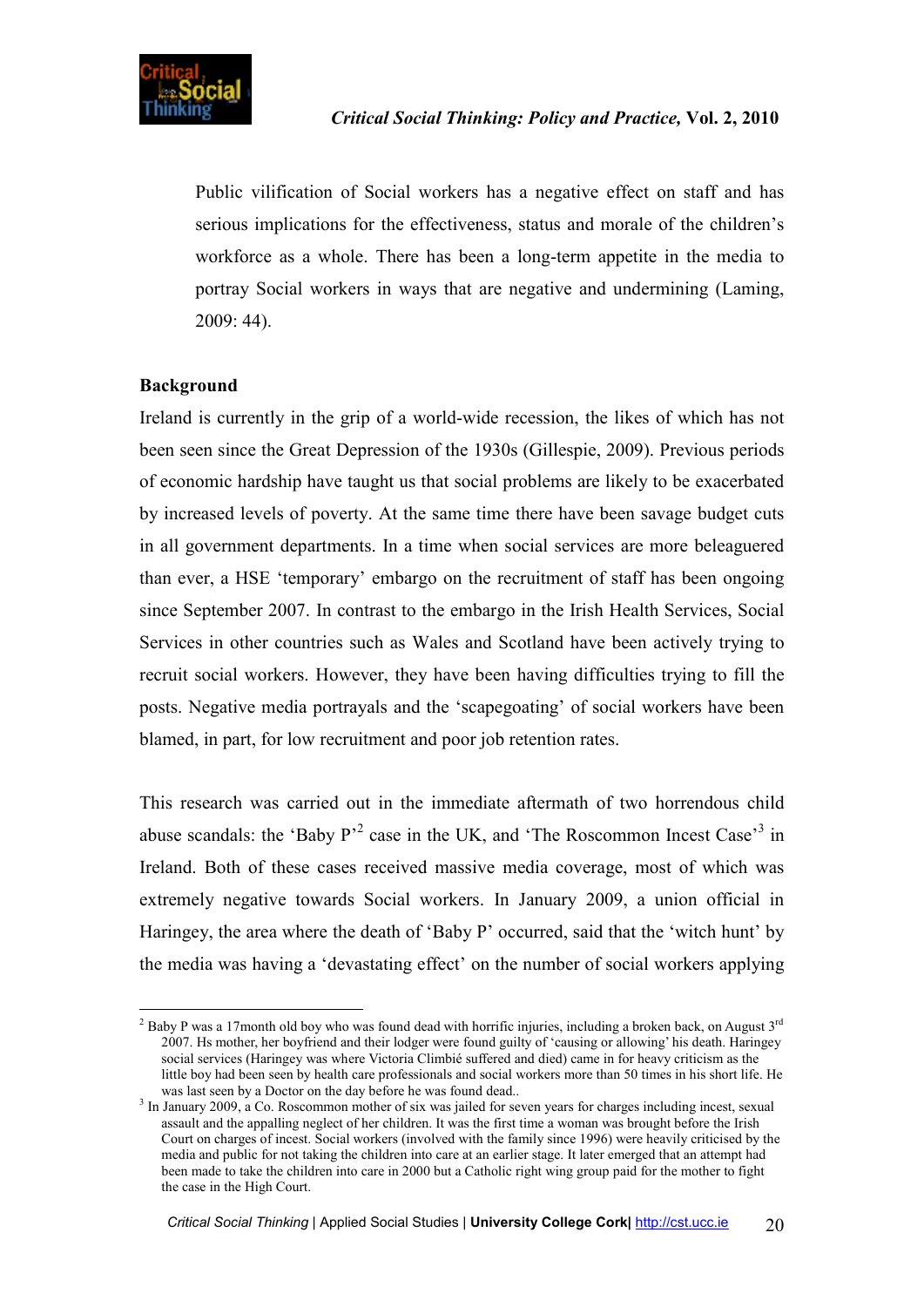Public vilification of Social workers has a negative effect on staff and has serious implications for the effectiveness, status and morale of the children's workforce as a whole. There has been a long-term appetite in the media to portray Social workers in ways that are negative and undermining (Laming, 2009: 44).

# **Background**

Ireland is currently in the grip of a world-wide recession, the likes of which has not been seen since the Great Depression of the 1930s (Gillespie, 2009). Previous periods of economic hardship have taught us that social problems are likely to be exacerbated by increased levels of poverty. At the same time there have been savage budget cuts in all government departments. In a time when social services are more beleaguered than ever, a HSE 'temporary' embargo on the recruitment of staff has been ongoing since September 2007. In contrast to the embargo in the Irish Health Services, Social Services in other countries such as Wales and Scotland have been actively trying to recruit social workers. However, they have been having difficulties trying to fill the posts. Negative media portrayals and the 'scapegoating' of social workers have been blamed, in part, for low recruitment and poor job retention rates.

This research was carried out in the immediate aftermath of two horrendous child abuse scandals: the 'Baby  $P^2$  case in the UK, and 'The Roscommon Incest Case'<sup>3</sup> in Ireland. Both of these cases received massive media coverage, most of which was extremely negative towards Social workers. In January 2009, a union official in Haringey, the area where the death of 'Baby P' occurred, said that the 'witch hunt' by the media was having a 'devastating effect' on the number of social workers applying

 $\overline{a}$ <sup>2</sup> Baby P was a 17month old boy who was found dead with horrific injuries, including a broken back, on August  $3^{rd}$ 2007. Hs mother, her boyfriend and their lodger were found guilty of 'causing or allowing' his death. Haringey social services (Haringey was where Victoria Climbié suffered and died) came in for heavy criticism as the little boy had been seen by health care professionals and social workers more than 50 times in his short life. He was last seen by a Doctor on the day before he was found dead..

<sup>&</sup>lt;sup>3</sup> In January 2009, a Co. Roscommon mother of six was jailed for seven years for charges including incest, sexual assault and the appalling neglect of her children. It was the first time a woman was brought before the Irish Court on charges of incest. Social workers (involved with the family since 1996) were heavily criticised by the media and public for not taking the children into care at an earlier stage. It later emerged that an attempt had been made to take the children into care in 2000 but a Catholic right wing group paid for the mother to fight the case in the High Court.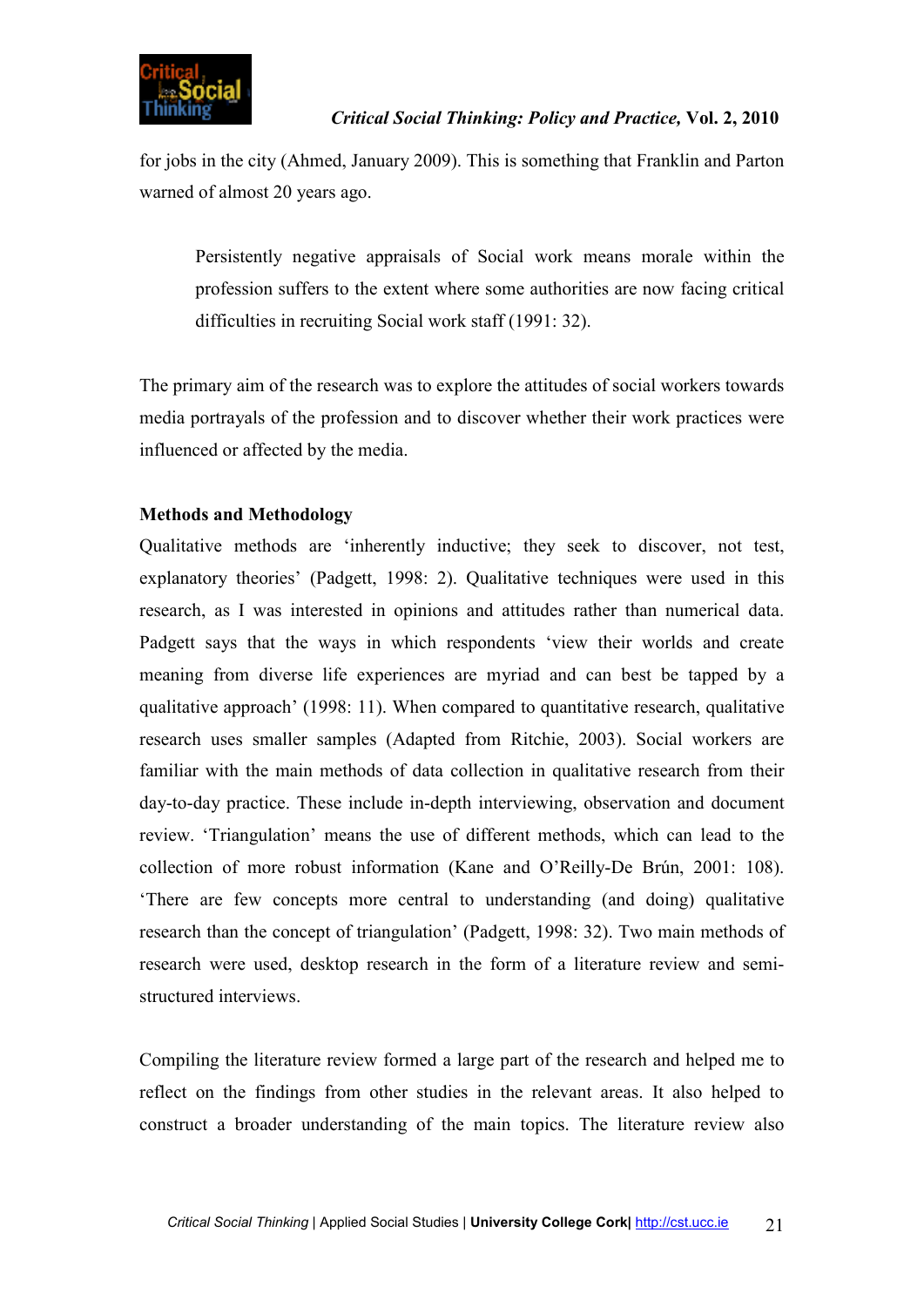

for jobs in the city (Ahmed, January 2009). This is something that Franklin and Parton warned of almost 20 years ago.

Persistently negative appraisals of Social work means morale within the profession suffers to the extent where some authorities are now facing critical difficulties in recruiting Social work staff (1991: 32).

The primary aim of the research was to explore the attitudes of social workers towards media portrayals of the profession and to discover whether their work practices were influenced or affected by the media.

# **Methods and Methodology**

Qualitative methods are 'inherently inductive; they seek to discover, not test, explanatory theories' (Padgett, 1998: 2). Qualitative techniques were used in this research, as I was interested in opinions and attitudes rather than numerical data. Padgett says that the ways in which respondents 'view their worlds and create meaning from diverse life experiences are myriad and can best be tapped by a qualitative approach' (1998: 11). When compared to quantitative research, qualitative research uses smaller samples (Adapted from Ritchie, 2003). Social workers are familiar with the main methods of data collection in qualitative research from their day-to-day practice. These include in-depth interviewing, observation and document review. 'Triangulation' means the use of different methods, which can lead to the collection of more robust information (Kane and O'Reilly-De Brún, 2001: 108). 'There are few concepts more central to understanding (and doing) qualitative research than the concept of triangulation' (Padgett, 1998: 32). Two main methods of research were used, desktop research in the form of a literature review and semistructured interviews.

Compiling the literature review formed a large part of the research and helped me to reflect on the findings from other studies in the relevant areas. It also helped to construct a broader understanding of the main topics. The literature review also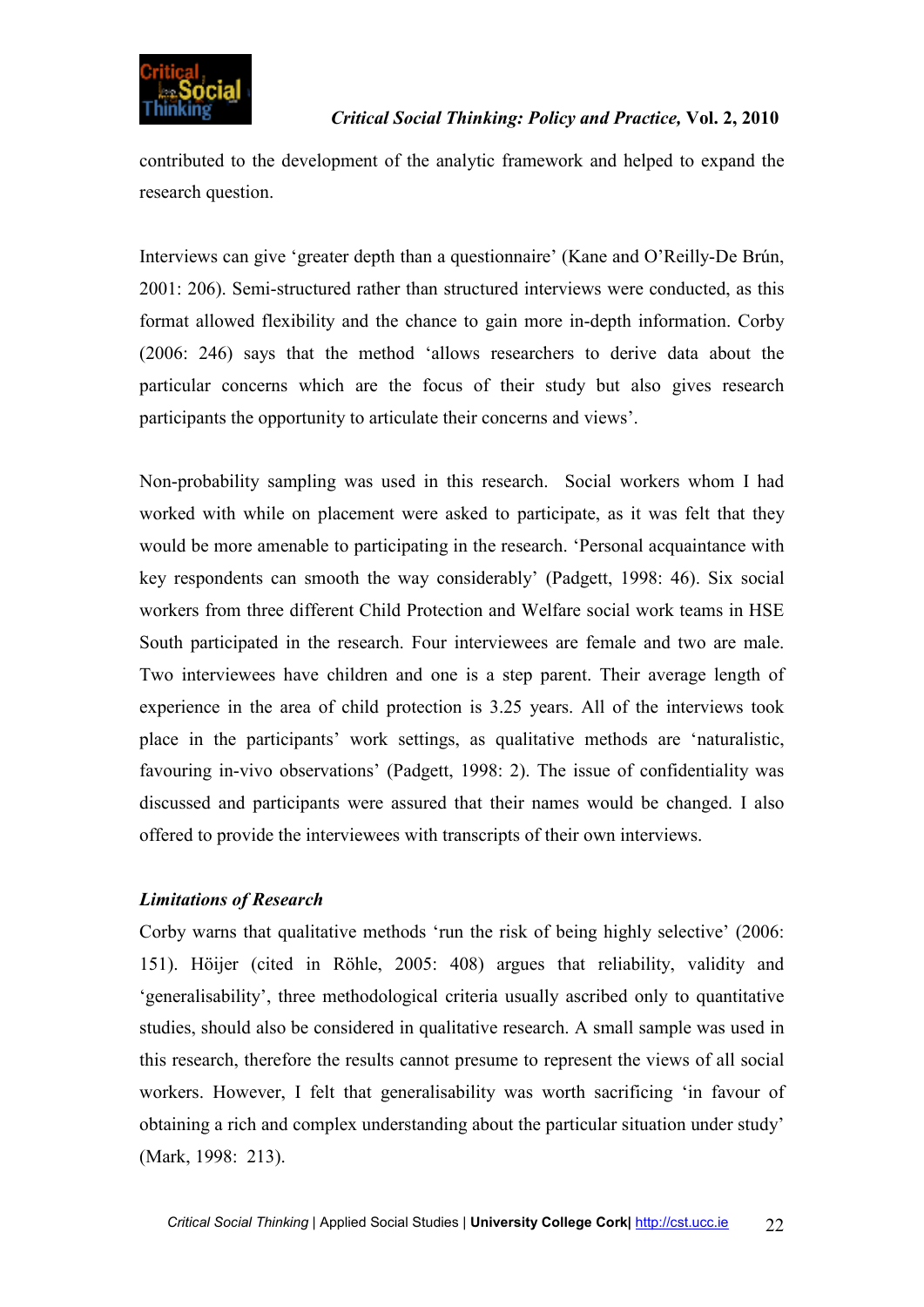

contributed to the development of the analytic framework and helped to expand the research question.

Interviews can give 'greater depth than a questionnaire' (Kane and O'Reilly-De Brún, 2001: 206). Semi-structured rather than structured interviews were conducted, as this format allowed flexibility and the chance to gain more in-depth information. Corby (2006: 246) says that the method 'allows researchers to derive data about the particular concerns which are the focus of their study but also gives research participants the opportunity to articulate their concerns and views'.

Non-probability sampling was used in this research. Social workers whom I had worked with while on placement were asked to participate, as it was felt that they would be more amenable to participating in the research. 'Personal acquaintance with key respondents can smooth the way considerably' (Padgett, 1998: 46). Six social workers from three different Child Protection and Welfare social work teams in HSE South participated in the research. Four interviewees are female and two are male. Two interviewees have children and one is a step parent. Their average length of experience in the area of child protection is 3.25 years. All of the interviews took place in the participants' work settings, as qualitative methods are 'naturalistic, favouring in-vivo observations' (Padgett, 1998: 2). The issue of confidentiality was discussed and participants were assured that their names would be changed. I also offered to provide the interviewees with transcripts of their own interviews.

# *Limitations of Research*

Corby warns that qualitative methods 'run the risk of being highly selective' (2006: 151). Höijer (cited in Röhle, 2005: 408) argues that reliability, validity and 'generalisability', three methodological criteria usually ascribed only to quantitative studies, should also be considered in qualitative research. A small sample was used in this research, therefore the results cannot presume to represent the views of all social workers. However, I felt that generalisability was worth sacrificing 'in favour of obtaining a rich and complex understanding about the particular situation under study' (Mark, 1998: 213).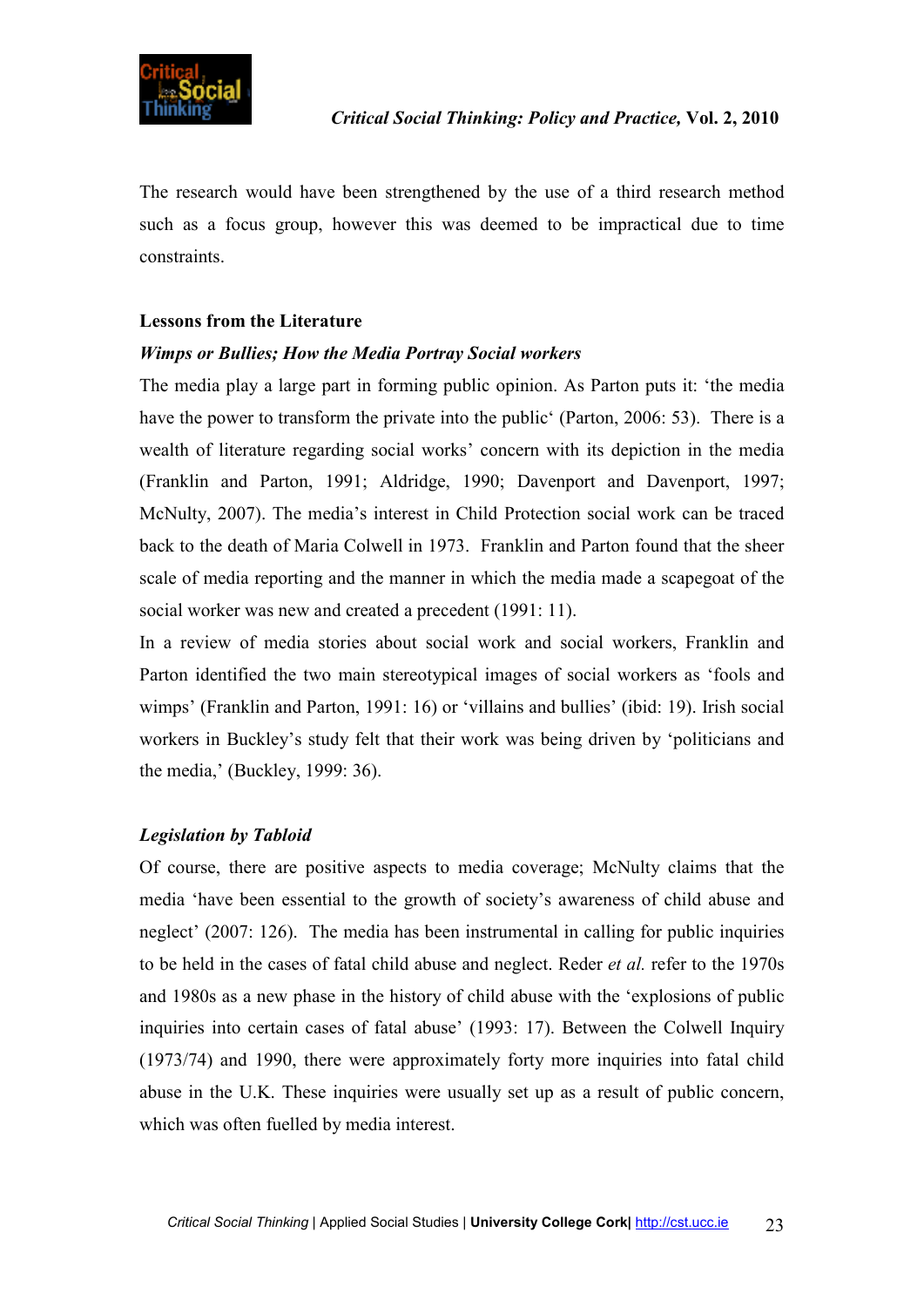

The research would have been strengthened by the use of a third research method such as a focus group, however this was deemed to be impractical due to time constraints.

#### **Lessons from the Literature**

#### *Wimps or Bullies; How the Media Portray Social workers*

The media play a large part in forming public opinion. As Parton puts it: 'the media have the power to transform the private into the public' (Parton, 2006: 53). There is a wealth of literature regarding social works' concern with its depiction in the media (Franklin and Parton, 1991; Aldridge, 1990; Davenport and Davenport, 1997; McNulty, 2007). The media's interest in Child Protection social work can be traced back to the death of Maria Colwell in 1973. Franklin and Parton found that the sheer scale of media reporting and the manner in which the media made a scapegoat of the social worker was new and created a precedent (1991: 11).

In a review of media stories about social work and social workers, Franklin and Parton identified the two main stereotypical images of social workers as 'fools and wimps' (Franklin and Parton, 1991: 16) or 'villains and bullies' (ibid: 19). Irish social workers in Buckley's study felt that their work was being driven by 'politicians and the media,' (Buckley, 1999: 36).

#### *Legislation by Tabloid*

Of course, there are positive aspects to media coverage; McNulty claims that the media 'have been essential to the growth of society's awareness of child abuse and neglect' (2007: 126). The media has been instrumental in calling for public inquiries to be held in the cases of fatal child abuse and neglect. Reder *et al.* refer to the 1970s and 1980s as a new phase in the history of child abuse with the 'explosions of public inquiries into certain cases of fatal abuse' (1993: 17). Between the Colwell Inquiry (1973/74) and 1990, there were approximately forty more inquiries into fatal child abuse in the U.K. These inquiries were usually set up as a result of public concern, which was often fuelled by media interest.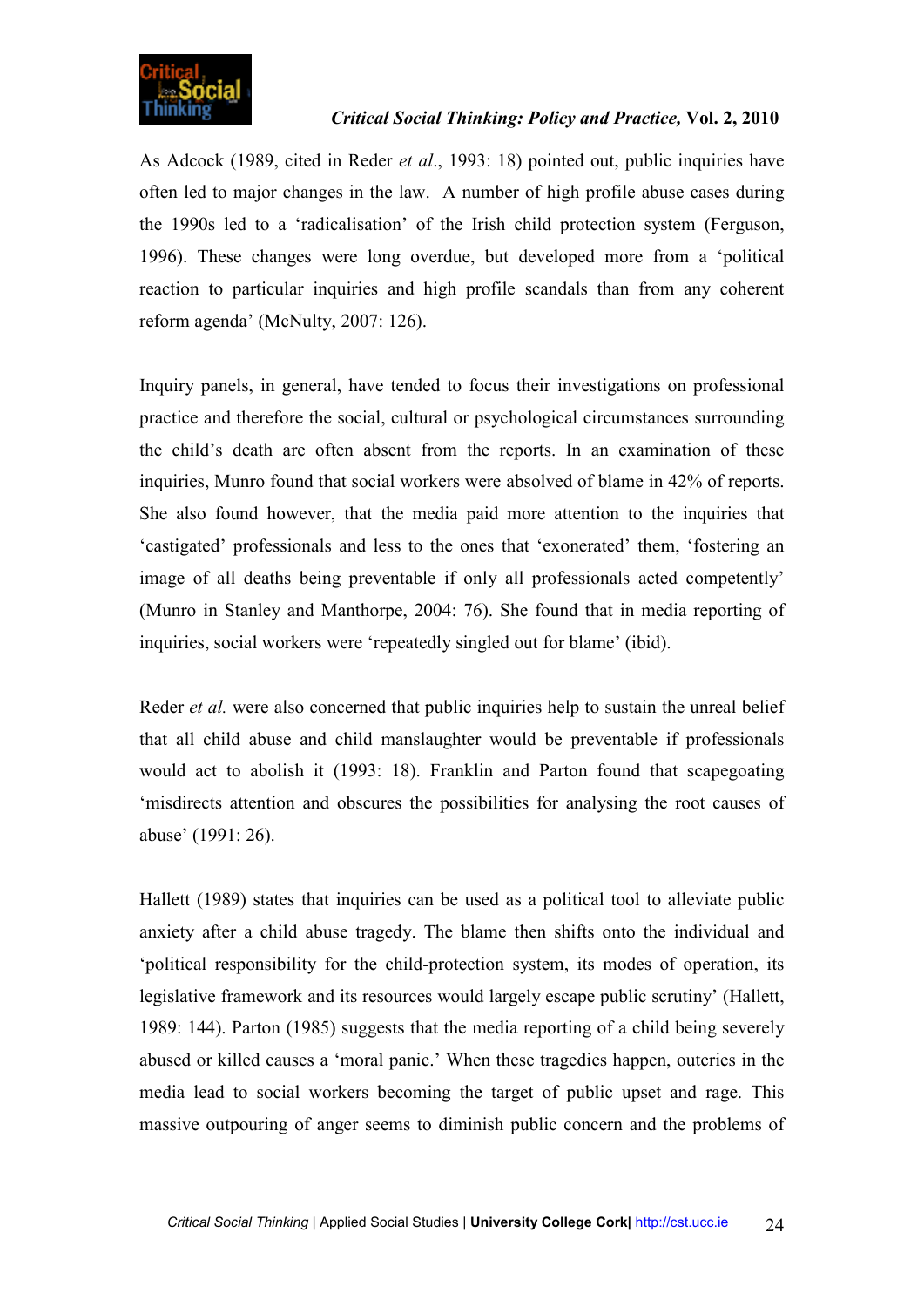

## *Critical Social Thinking: Policy and Practice,* **Vol. 2, 2010**

As Adcock (1989, cited in Reder *et al*., 1993: 18) pointed out, public inquiries have often led to major changes in the law. A number of high profile abuse cases during the 1990s led to a 'radicalisation' of the Irish child protection system (Ferguson, 1996). These changes were long overdue, but developed more from a 'political reaction to particular inquiries and high profile scandals than from any coherent reform agenda' (McNulty, 2007: 126).

Inquiry panels, in general, have tended to focus their investigations on professional practice and therefore the social, cultural or psychological circumstances surrounding the child's death are often absent from the reports. In an examination of these inquiries, Munro found that social workers were absolved of blame in 42% of reports. She also found however, that the media paid more attention to the inquiries that 'castigated' professionals and less to the ones that 'exonerated' them, 'fostering an image of all deaths being preventable if only all professionals acted competently' (Munro in Stanley and Manthorpe, 2004: 76). She found that in media reporting of inquiries, social workers were 'repeatedly singled out for blame' (ibid).

Reder *et al.* were also concerned that public inquiries help to sustain the unreal belief that all child abuse and child manslaughter would be preventable if professionals would act to abolish it (1993: 18). Franklin and Parton found that scapegoating 'misdirects attention and obscures the possibilities for analysing the root causes of abuse' (1991: 26).

Hallett (1989) states that inquiries can be used as a political tool to alleviate public anxiety after a child abuse tragedy. The blame then shifts onto the individual and 'political responsibility for the child-protection system, its modes of operation, its legislative framework and its resources would largely escape public scrutiny' (Hallett, 1989: 144). Parton (1985) suggests that the media reporting of a child being severely abused or killed causes a 'moral panic.' When these tragedies happen, outcries in the media lead to social workers becoming the target of public upset and rage. This massive outpouring of anger seems to diminish public concern and the problems of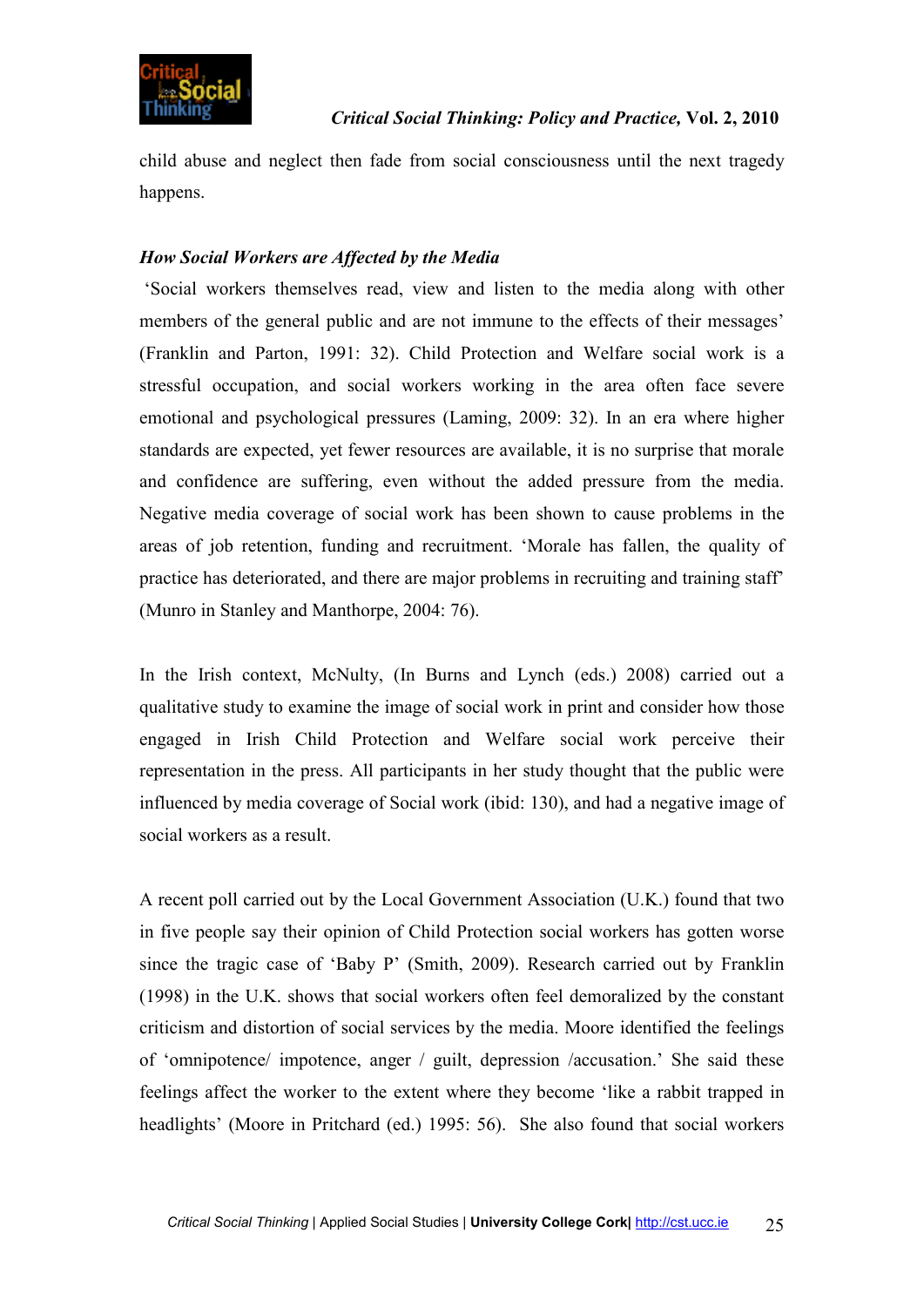

child abuse and neglect then fade from social consciousness until the next tragedy happens.

# *How Social Workers are Affected by the Media*

'Social workers themselves read, view and listen to the media along with other members of the general public and are not immune to the effects of their messages' (Franklin and Parton, 1991: 32). Child Protection and Welfare social work is a stressful occupation, and social workers working in the area often face severe emotional and psychological pressures (Laming, 2009: 32). In an era where higher standards are expected, yet fewer resources are available, it is no surprise that morale and confidence are suffering, even without the added pressure from the media. Negative media coverage of social work has been shown to cause problems in the areas of job retention, funding and recruitment. 'Morale has fallen, the quality of practice has deteriorated, and there are major problems in recruiting and training staff' (Munro in Stanley and Manthorpe, 2004: 76).

In the Irish context, McNulty, (In Burns and Lynch (eds.) 2008) carried out a qualitative study to examine the image of social work in print and consider how those engaged in Irish Child Protection and Welfare social work perceive their representation in the press. All participants in her study thought that the public were influenced by media coverage of Social work (ibid: 130), and had a negative image of social workers as a result.

A recent poll carried out by the Local Government Association (U.K.) found that two in five people say their opinion of Child Protection social workers has gotten worse since the tragic case of 'Baby P' (Smith, 2009). Research carried out by Franklin (1998) in the U.K. shows that social workers often feel demoralized by the constant criticism and distortion of social services by the media. Moore identified the feelings of 'omnipotence/ impotence, anger / guilt, depression /accusation.' She said these feelings affect the worker to the extent where they become 'like a rabbit trapped in headlights' (Moore in Pritchard (ed.) 1995: 56). She also found that social workers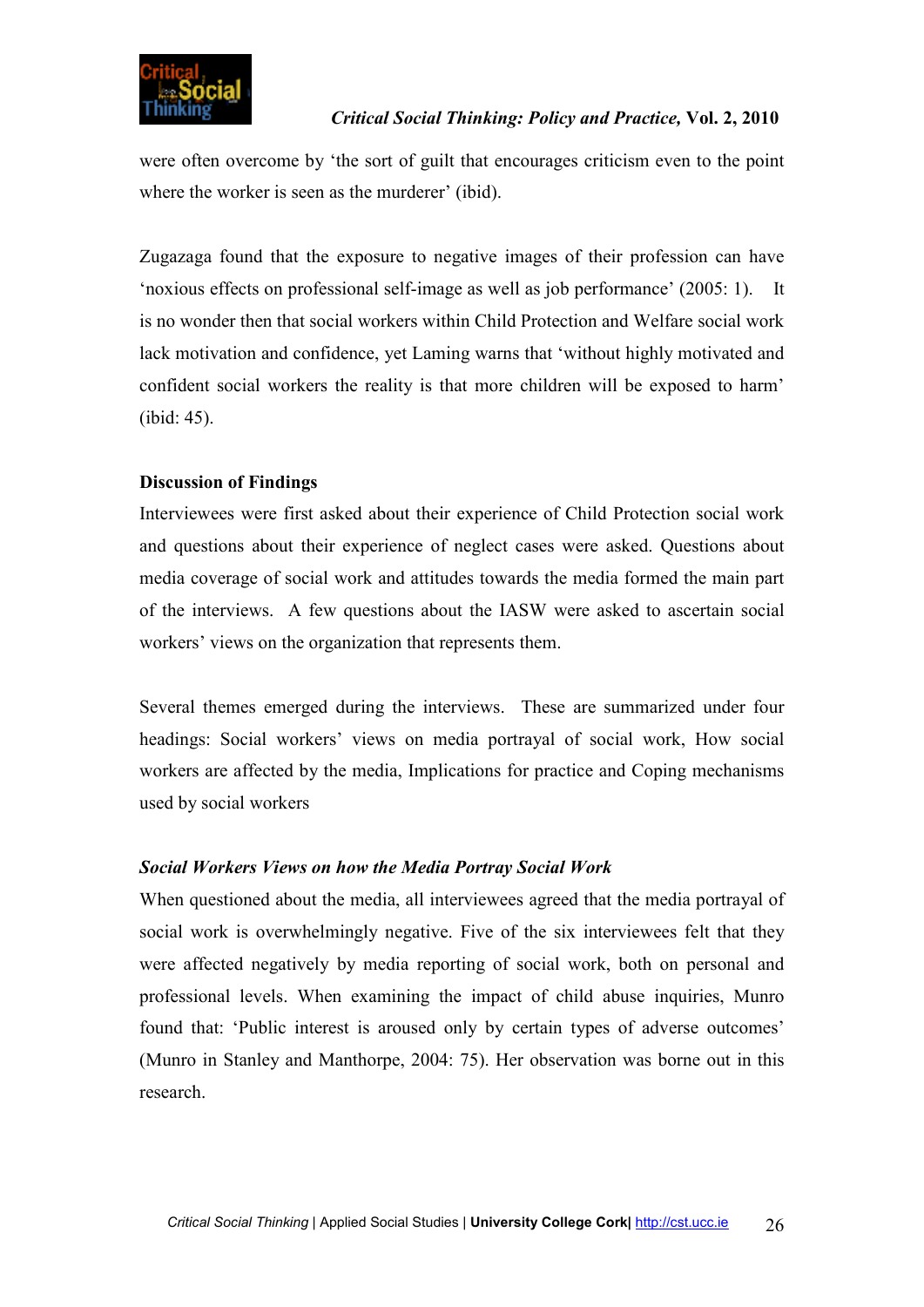

#### *Critical Social Thinking: Policy and Practice,* **Vol. 2, 2010**

were often overcome by 'the sort of guilt that encourages criticism even to the point where the worker is seen as the murderer' (ibid).

Zugazaga found that the exposure to negative images of their profession can have 'noxious effects on professional self-image as well as job performance' (2005: 1). It is no wonder then that social workers within Child Protection and Welfare social work lack motivation and confidence, yet Laming warns that 'without highly motivated and confident social workers the reality is that more children will be exposed to harm' (ibid: 45).

# **Discussion of Findings**

Interviewees were first asked about their experience of Child Protection social work and questions about their experience of neglect cases were asked. Questions about media coverage of social work and attitudes towards the media formed the main part of the interviews. A few questions about the IASW were asked to ascertain social workers' views on the organization that represents them.

Several themes emerged during the interviews. These are summarized under four headings: Social workers' views on media portrayal of social work, How social workers are affected by the media, Implications for practice and Coping mechanisms used by social workers

#### *Social Workers Views on how the Media Portray Social Work*

When questioned about the media, all interviewees agreed that the media portrayal of social work is overwhelmingly negative. Five of the six interviewees felt that they were affected negatively by media reporting of social work, both on personal and professional levels. When examining the impact of child abuse inquiries, Munro found that: 'Public interest is aroused only by certain types of adverse outcomes' (Munro in Stanley and Manthorpe, 2004: 75). Her observation was borne out in this research.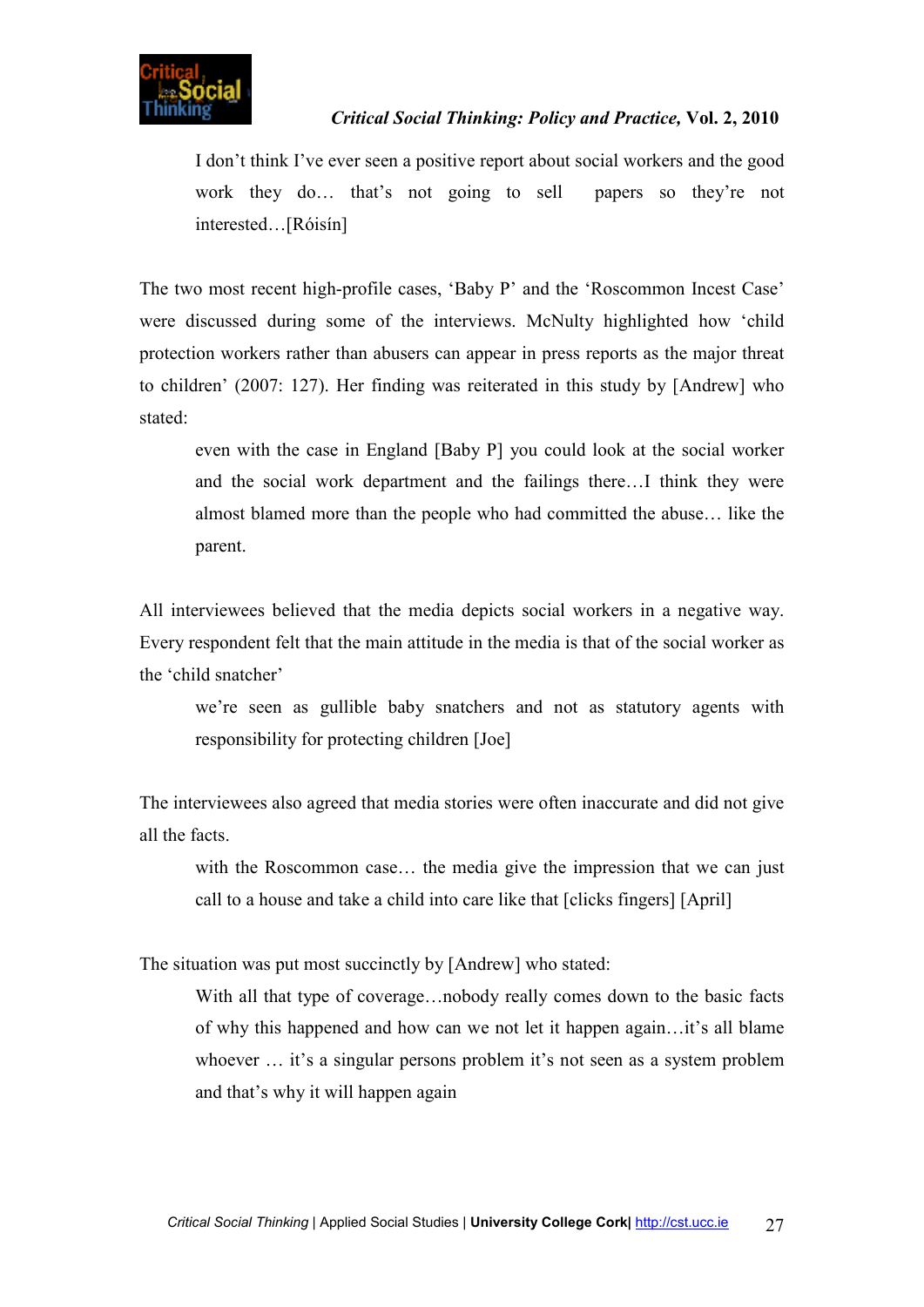I don't think I've ever seen a positive report about social workers and the good work they do… that's not going to sell papers so they're not interested…[Róisín]

The two most recent high-profile cases, 'Baby P' and the 'Roscommon Incest Case' were discussed during some of the interviews. McNulty highlighted how 'child protection workers rather than abusers can appear in press reports as the major threat to children' (2007: 127). Her finding was reiterated in this study by [Andrew] who stated:

even with the case in England [Baby P] you could look at the social worker and the social work department and the failings there…I think they were almost blamed more than the people who had committed the abuse… like the parent.

All interviewees believed that the media depicts social workers in a negative way. Every respondent felt that the main attitude in the media is that of the social worker as the 'child snatcher'

we're seen as gullible baby snatchers and not as statutory agents with responsibility for protecting children [Joe]

The interviewees also agreed that media stories were often inaccurate and did not give all the facts.

with the Roscommon case... the media give the impression that we can just call to a house and take a child into care like that [clicks fingers] [April]

The situation was put most succinctly by [Andrew] who stated:

With all that type of coverage…nobody really comes down to the basic facts of why this happened and how can we not let it happen again…it's all blame whoever ... it's a singular persons problem it's not seen as a system problem and that's why it will happen again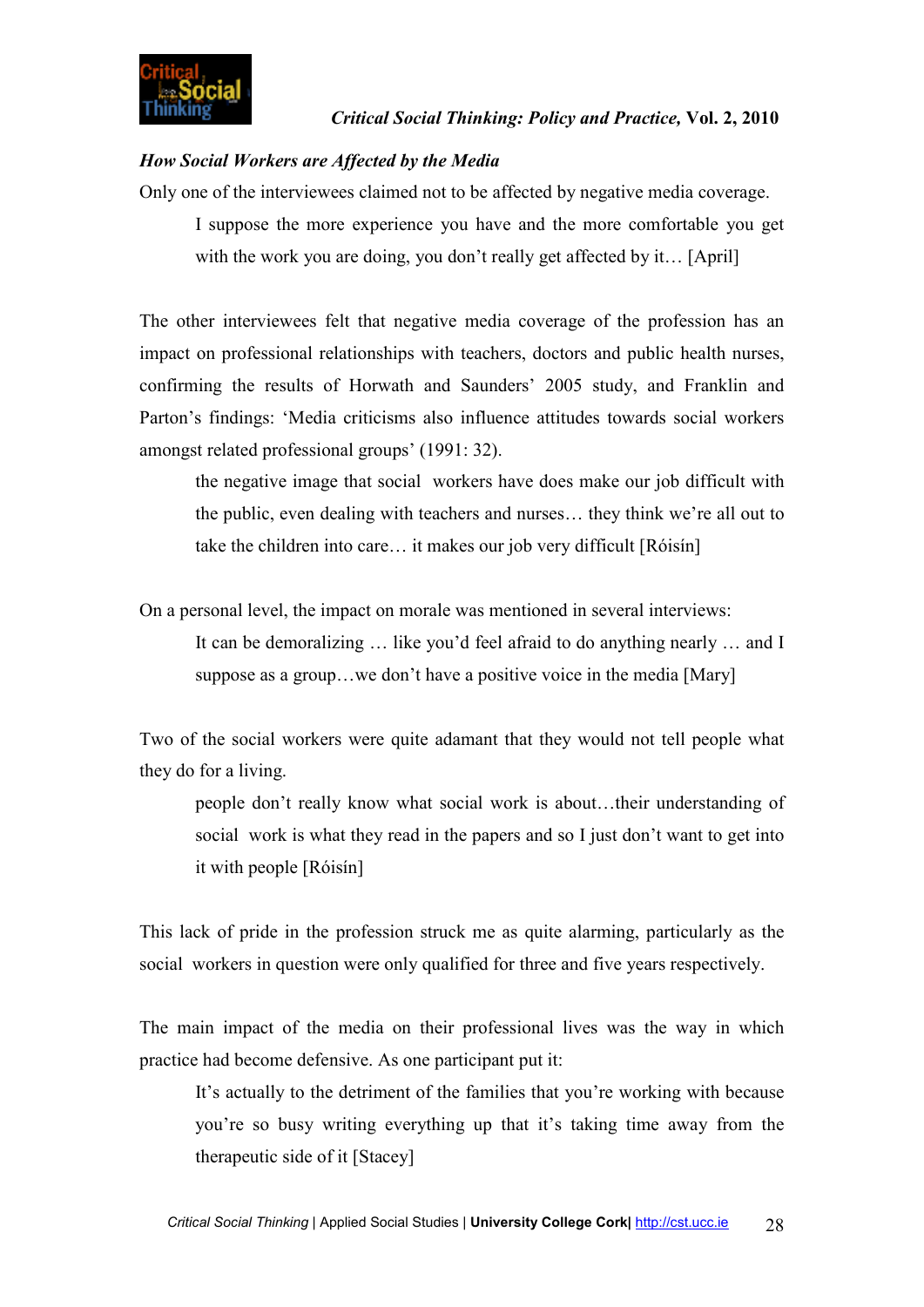# *How Social Workers are Affected by the Media*

Only one of the interviewees claimed not to be affected by negative media coverage.

I suppose the more experience you have and the more comfortable you get with the work you are doing, you don't really get affected by it... [April]

The other interviewees felt that negative media coverage of the profession has an impact on professional relationships with teachers, doctors and public health nurses, confirming the results of Horwath and Saunders' 2005 study, and Franklin and Parton's findings: 'Media criticisms also influence attitudes towards social workers amongst related professional groups' (1991: 32).

the negative image that social workers have does make our job difficult with the public, even dealing with teachers and nurses… they think we're all out to take the children into care… it makes our job very difficult [Róisín]

On a personal level, the impact on morale was mentioned in several interviews:

It can be demoralizing … like you'd feel afraid to do anything nearly … and I suppose as a group…we don't have a positive voice in the media [Mary]

Two of the social workers were quite adamant that they would not tell people what they do for a living.

people don't really know what social work is about…their understanding of social work is what they read in the papers and so I just don't want to get into it with people [Róisín]

This lack of pride in the profession struck me as quite alarming, particularly as the social workers in question were only qualified for three and five years respectively.

The main impact of the media on their professional lives was the way in which practice had become defensive. As one participant put it:

It's actually to the detriment of the families that you're working with because you're so busy writing everything up that it's taking time away from the therapeutic side of it [Stacey]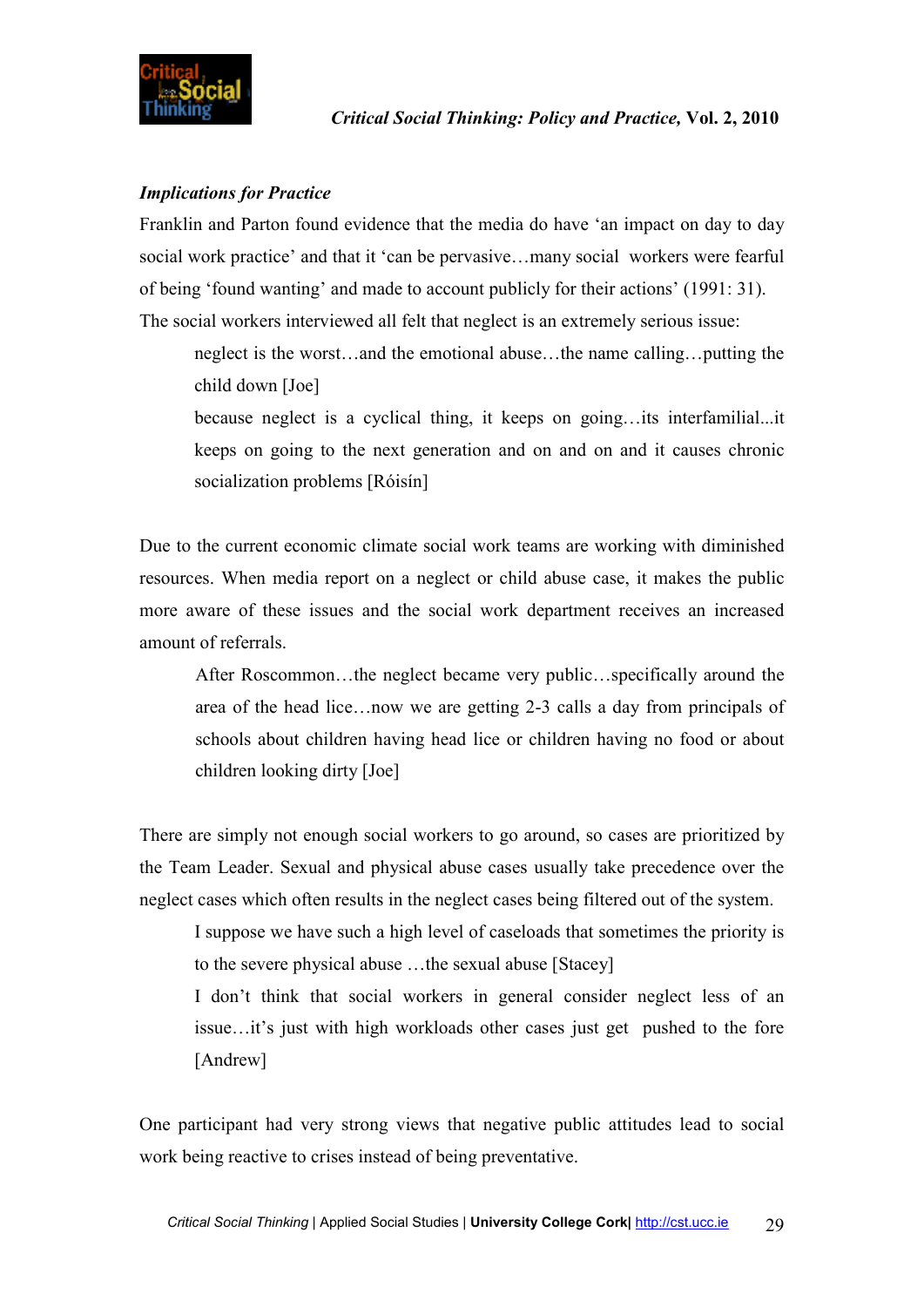

# *Implications for Practice*

Franklin and Parton found evidence that the media do have 'an impact on day to day social work practice' and that it 'can be pervasive…many social workers were fearful of being 'found wanting' and made to account publicly for their actions' (1991: 31). The social workers interviewed all felt that neglect is an extremely serious issue:

neglect is the worst…and the emotional abuse…the name calling…putting the child down [Joe]

because neglect is a cyclical thing, it keeps on going…its interfamilial...it keeps on going to the next generation and on and on and it causes chronic socialization problems [Róisín]

Due to the current economic climate social work teams are working with diminished resources. When media report on a neglect or child abuse case, it makes the public more aware of these issues and the social work department receives an increased amount of referrals.

After Roscommon…the neglect became very public…specifically around the area of the head lice…now we are getting 2-3 calls a day from principals of schools about children having head lice or children having no food or about children looking dirty [Joe]

There are simply not enough social workers to go around, so cases are prioritized by the Team Leader. Sexual and physical abuse cases usually take precedence over the neglect cases which often results in the neglect cases being filtered out of the system.

I suppose we have such a high level of caseloads that sometimes the priority is to the severe physical abuse …the sexual abuse [Stacey]

I don't think that social workers in general consider neglect less of an issue…it's just with high workloads other cases just get pushed to the fore [Andrew]

One participant had very strong views that negative public attitudes lead to social work being reactive to crises instead of being preventative.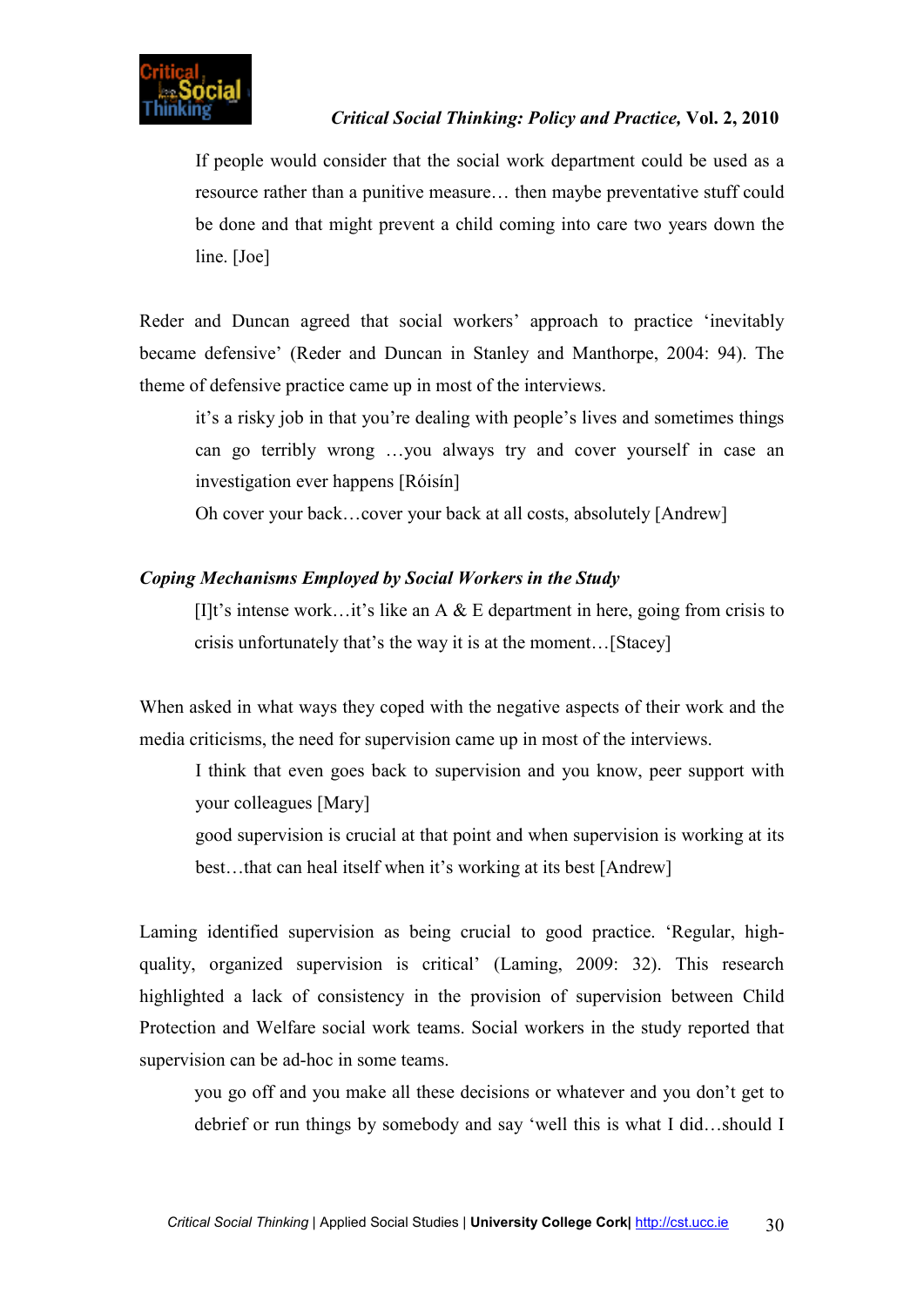If people would consider that the social work department could be used as a resource rather than a punitive measure… then maybe preventative stuff could be done and that might prevent a child coming into care two years down the line. [Joe]

Reder and Duncan agreed that social workers' approach to practice 'inevitably became defensive' (Reder and Duncan in Stanley and Manthorpe, 2004: 94). The theme of defensive practice came up in most of the interviews.

it's a risky job in that you're dealing with people's lives and sometimes things can go terribly wrong …you always try and cover yourself in case an investigation ever happens [Róisín]

Oh cover your back…cover your back at all costs, absolutely [Andrew]

# *Coping Mechanisms Employed by Social Workers in the Study*

[I]t's intense work…it's like an A  $\&$  E department in here, going from crisis to crisis unfortunately that's the way it is at the moment…[Stacey]

When asked in what ways they coped with the negative aspects of their work and the media criticisms, the need for supervision came up in most of the interviews.

I think that even goes back to supervision and you know, peer support with your colleagues [Mary]

good supervision is crucial at that point and when supervision is working at its best…that can heal itself when it's working at its best [Andrew]

Laming identified supervision as being crucial to good practice. 'Regular, highquality, organized supervision is critical' (Laming, 2009: 32). This research highlighted a lack of consistency in the provision of supervision between Child Protection and Welfare social work teams. Social workers in the study reported that supervision can be ad-hoc in some teams.

you go off and you make all these decisions or whatever and you don't get to debrief or run things by somebody and say 'well this is what I did…should I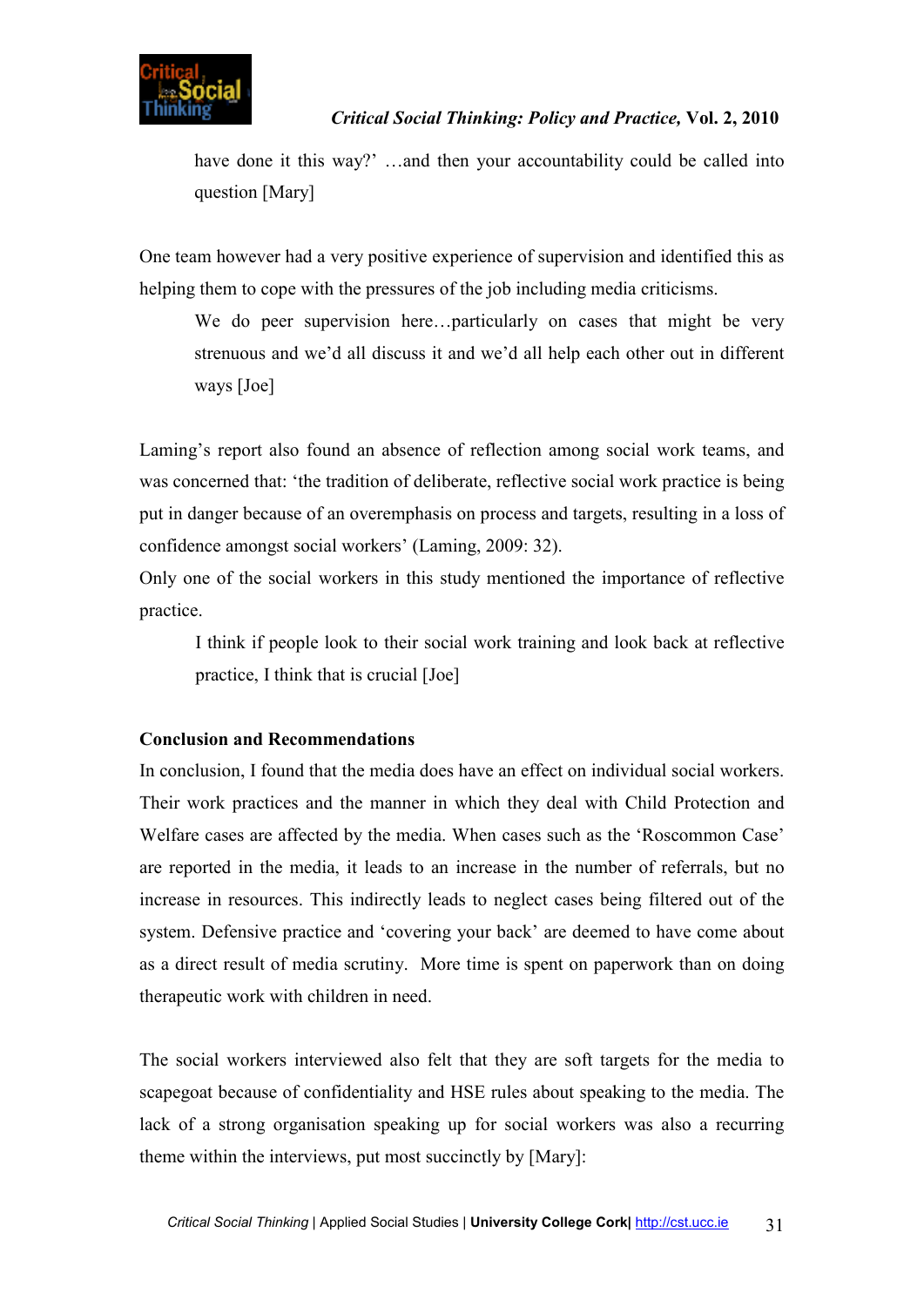have done it this way?' ...and then your accountability could be called into question [Mary]

One team however had a very positive experience of supervision and identified this as helping them to cope with the pressures of the job including media criticisms.

We do peer supervision here...particularly on cases that might be very strenuous and we'd all discuss it and we'd all help each other out in different ways [Joe]

Laming's report also found an absence of reflection among social work teams, and was concerned that: 'the tradition of deliberate, reflective social work practice is being put in danger because of an overemphasis on process and targets, resulting in a loss of confidence amongst social workers' (Laming, 2009: 32).

Only one of the social workers in this study mentioned the importance of reflective practice.

I think if people look to their social work training and look back at reflective practice, I think that is crucial [Joe]

# **Conclusion and Recommendations**

In conclusion, I found that the media does have an effect on individual social workers. Their work practices and the manner in which they deal with Child Protection and Welfare cases are affected by the media. When cases such as the 'Roscommon Case' are reported in the media, it leads to an increase in the number of referrals, but no increase in resources. This indirectly leads to neglect cases being filtered out of the system. Defensive practice and 'covering your back' are deemed to have come about as a direct result of media scrutiny. More time is spent on paperwork than on doing therapeutic work with children in need.

The social workers interviewed also felt that they are soft targets for the media to scapegoat because of confidentiality and HSE rules about speaking to the media. The lack of a strong organisation speaking up for social workers was also a recurring theme within the interviews, put most succinctly by [Mary]: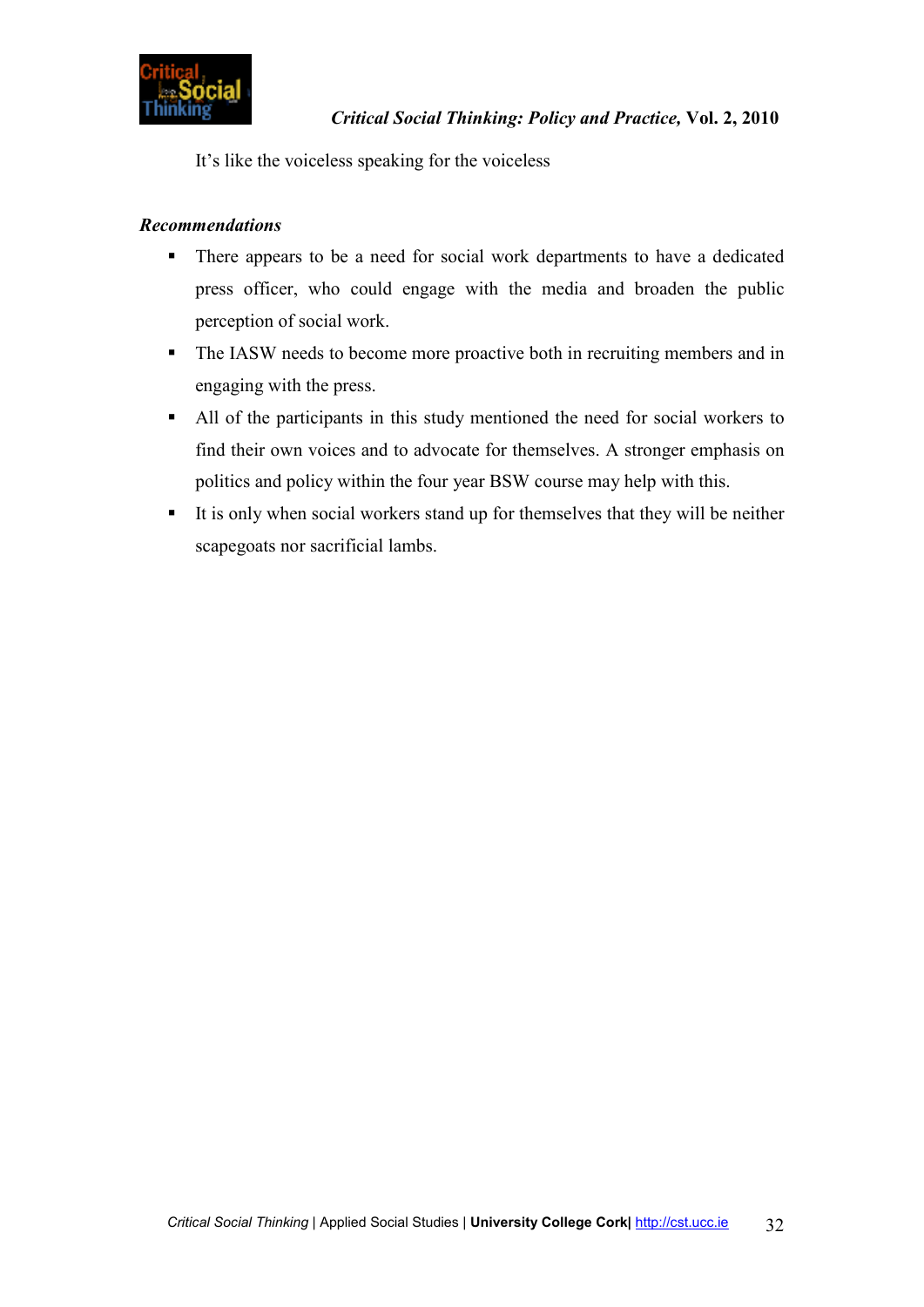

It's like the voiceless speaking for the voiceless

# *Recommendations*

- There appears to be a need for social work departments to have a dedicated press officer, who could engage with the media and broaden the public perception of social work.
- The IASW needs to become more proactive both in recruiting members and in engaging with the press.
- All of the participants in this study mentioned the need for social workers to find their own voices and to advocate for themselves. A stronger emphasis on politics and policy within the four year BSW course may help with this.
- It is only when social workers stand up for themselves that they will be neither scapegoats nor sacrificial lambs.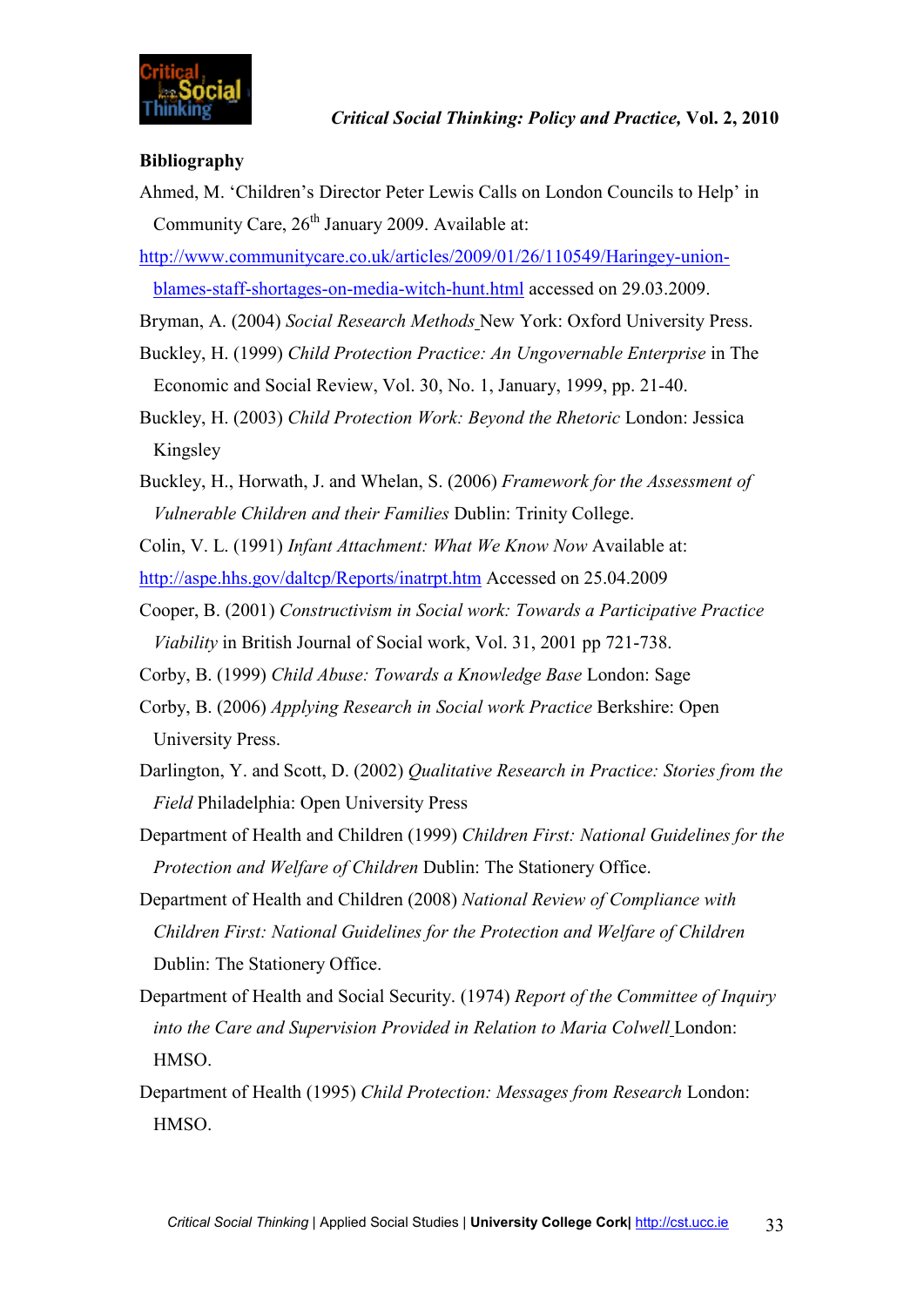# **Bibliography**

Ahmed, M. 'Children's Director Peter Lewis Calls on London Councils to Help' in Community Care,  $26<sup>th</sup>$  January 2009. Available at:

http://www.communitycare.co.uk/articles/2009/01/26/110549/Haringey-union-

blames-staff-shortages-on-media-witch-hunt.html accessed on 29.03.2009.

- Bryman, A. (2004) *Social Research Methods* New York: Oxford University Press.
- Buckley, H. (1999) *Child Protection Practice: An Ungovernable Enterprise* in The Economic and Social Review, Vol. 30, No. 1, January, 1999, pp. 21-40.
- Buckley, H. (2003) *Child Protection Work: Beyond the Rhetoric* London: Jessica Kingsley
- Buckley, H., Horwath, J. and Whelan, S. (2006) *Framework for the Assessment of Vulnerable Children and their Families* Dublin: Trinity College.

Colin, V. L. (1991) *Infant Attachment: What We Know Now* Available at: http://aspe.hhs.gov/daltcp/Reports/inatrpt.htm Accessed on 25.04.2009

- Cooper, B. (2001) *Constructivism in Social work: Towards a Participative Practice Viability* in British Journal of Social work, Vol. 31, 2001 pp 721-738.
- Corby, B. (1999) *Child Abuse: Towards a Knowledge Base* London: Sage
- Corby, B. (2006) *Applying Research in Social work Practice* Berkshire: Open University Press.
- Darlington, Y. and Scott, D. (2002) *Qualitative Research in Practice: Stories from the Field* Philadelphia: Open University Press
- Department of Health and Children (1999) *Children First: National Guidelines for the Protection and Welfare of Children* Dublin: The Stationery Office.
- Department of Health and Children (2008) *National Review of Compliance with Children First: National Guidelines for the Protection and Welfare of Children* Dublin: The Stationery Office.
- Department of Health and Social Security. (1974) *Report of the Committee of Inquiry into the Care and Supervision Provided in Relation to Maria Colwell* London: HMSO.
- Department of Health (1995) *Child Protection: Messages from Research* London: **HMSO**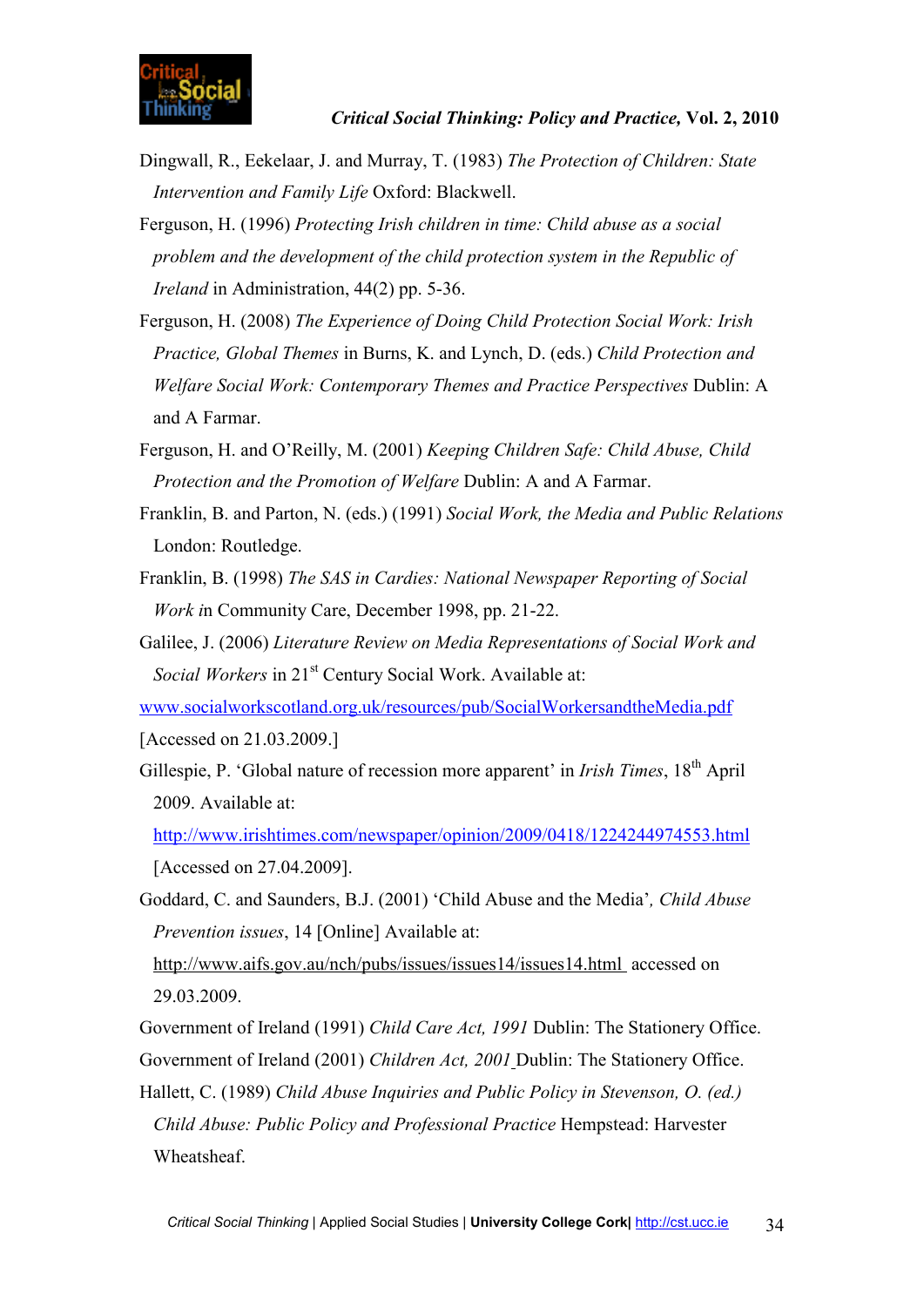- Dingwall, R., Eekelaar, J. and Murray, T. (1983) *The Protection of Children: State Intervention and Family Life* Oxford: Blackwell.
- Ferguson, H. (1996) *Protecting Irish children in time: Child abuse as a social problem and the development of the child protection system in the Republic of Ireland* in Administration, 44(2) pp. 5-36.
- Ferguson, H. (2008) *The Experience of Doing Child Protection Social Work: Irish Practice, Global Themes* in Burns, K. and Lynch, D. (eds.) *Child Protection and Welfare Social Work: Contemporary Themes and Practice Perspectives* Dublin: A and A Farmar.
- Ferguson, H. and O'Reilly, M. (2001) *Keeping Children Safe: Child Abuse, Child Protection and the Promotion of Welfare* Dublin: A and A Farmar.
- Franklin, B. and Parton, N. (eds.) (1991) *Social Work, the Media and Public Relations* London: Routledge.
- Franklin, B. (1998) *The SAS in Cardies: National Newspaper Reporting of Social Work i*n Community Care, December 1998, pp. 21-22.
- Galilee, J. (2006) *Literature Review on Media Representations of Social Work and Social Workers* in 21<sup>st</sup> Century Social Work. Available at:
- www.socialworkscotland.org.uk/resources/pub/SocialWorkersandtheMedia.pdf
- [Accessed on 21.03.2009.]
- Gillespie, P. 'Global nature of recession more apparent' in *Irish Times*, 18th April 2009. Available at:
	- http://www.irishtimes.com/newspaper/opinion/2009/0418/1224244974553.html [Accessed on 27.04.2009].
- Goddard, C. and Saunders, B.J. (2001) 'Child Abuse and the Media'*, Child Abuse Prevention issues*, 14 [Online] Available at:

http://www.aifs.gov.au/nch/pubs/issues/issues14/issues14.html accessed on 29.03.2009.

Government of Ireland (1991) *Child Care Act, 1991* Dublin: The Stationery Office. Government of Ireland (2001) *Children Act, 2001* Dublin: The Stationery Office.

Hallett, C. (1989) *Child Abuse Inquiries and Public Policy in Stevenson, O. (ed.) Child Abuse: Public Policy and Professional Practice* Hempstead: Harvester Wheatsheaf.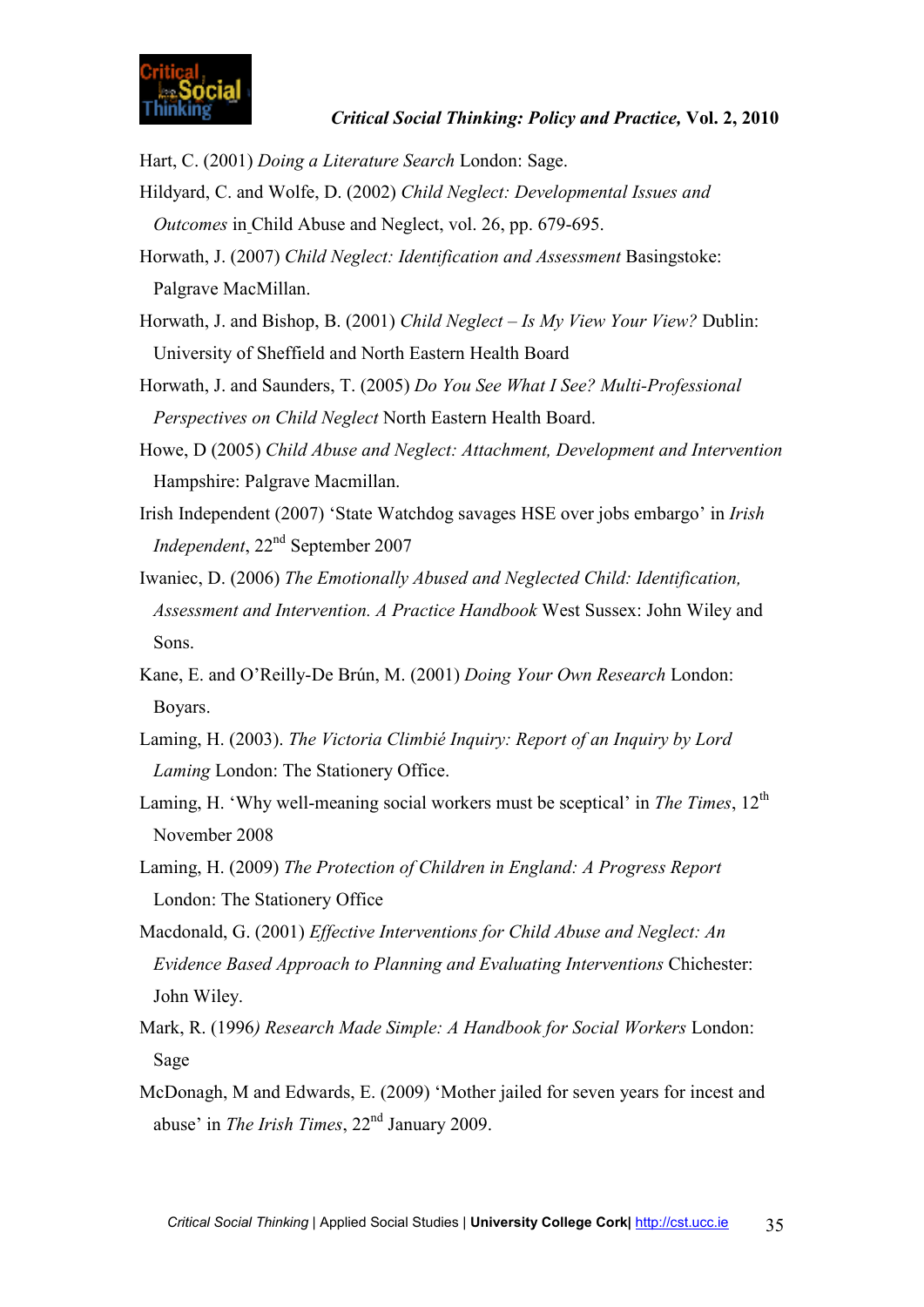Hart, C. (2001) *Doing a Literature Search* London: Sage.

- Hildyard, C. and Wolfe, D. (2002) *Child Neglect: Developmental Issues and Outcomes* in Child Abuse and Neglect, vol. 26, pp. 679-695.
- Horwath, J. (2007) *Child Neglect: Identification and Assessment* Basingstoke: Palgrave MacMillan.
- Horwath, J. and Bishop, B. (2001) *Child Neglect Is My View Your View?* Dublin: University of Sheffield and North Eastern Health Board
- Horwath, J. and Saunders, T. (2005) *Do You See What I See? Multi-Professional Perspectives on Child Neglect* North Eastern Health Board.
- Howe, D (2005) *Child Abuse and Neglect: Attachment, Development and Intervention* Hampshire: Palgrave Macmillan.
- Irish Independent (2007) 'State Watchdog savages HSE over jobs embargo' in *Irish Independent*, 22nd September 2007
- Iwaniec, D. (2006) *The Emotionally Abused and Neglected Child: Identification, Assessment and Intervention. A Practice Handbook* West Sussex: John Wiley and Sons.
- Kane, E. and O'Reilly-De Brún, M. (2001) *Doing Your Own Research* London: Boyars.
- Laming, H. (2003). *The Victoria Climbié Inquiry: Report of an Inquiry by Lord Laming* London: The Stationery Office.
- Laming, H. 'Why well-meaning social workers must be sceptical' in *The Times*, 12<sup>th</sup> November 2008
- Laming, H. (2009) *The Protection of Children in England: A Progress Report* London: The Stationery Office
- Macdonald, G. (2001) *Effective Interventions for Child Abuse and Neglect: An Evidence Based Approach to Planning and Evaluating Interventions* Chichester: John Wiley.
- Mark, R. (1996*) Research Made Simple: A Handbook for Social Workers* London: Sage
- McDonagh, M and Edwards, E. (2009) 'Mother jailed for seven years for incest and abuse' in *The Irish Times*, 22<sup>nd</sup> January 2009.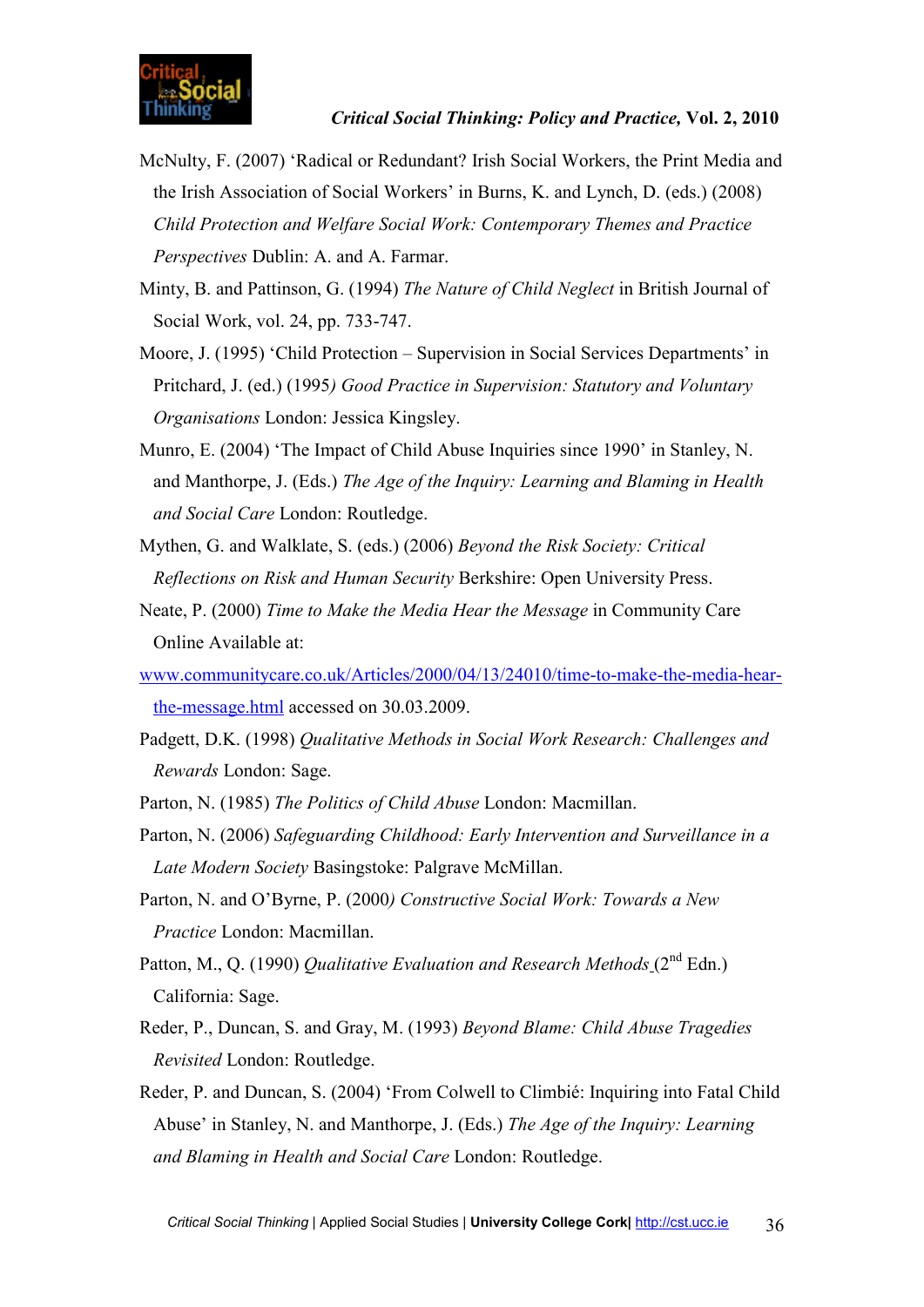- McNulty, F. (2007) 'Radical or Redundant? Irish Social Workers, the Print Media and the Irish Association of Social Workers' in Burns, K. and Lynch, D. (eds.) (2008) *Child Protection and Welfare Social Work: Contemporary Themes and Practice Perspectives* Dublin: A. and A. Farmar.
- Minty, B. and Pattinson, G. (1994) *The Nature of Child Neglect* in British Journal of Social Work, vol. 24, pp. 733-747.
- Moore, J. (1995) 'Child Protection Supervision in Social Services Departments' in Pritchard, J. (ed.) (1995*) Good Practice in Supervision: Statutory and Voluntary Organisations* London: Jessica Kingsley.
- Munro, E. (2004) 'The Impact of Child Abuse Inquiries since 1990' in Stanley, N. and Manthorpe, J. (Eds.) *The Age of the Inquiry: Learning and Blaming in Health and Social Care* London: Routledge.
- Mythen, G. and Walklate, S. (eds.) (2006) *Beyond the Risk Society: Critical Reflections on Risk and Human Security* Berkshire: Open University Press.
- Neate, P. (2000) *Time to Make the Media Hear the Message* in Community Care Online Available at:
- www.communitycare.co.uk/Articles/2000/04/13/24010/time-to-make-the-media-hearthe-message.html accessed on 30.03.2009.
- Padgett, D.K. (1998) *Qualitative Methods in Social Work Research: Challenges and Rewards* London: Sage.
- Parton, N. (1985) *The Politics of Child Abuse* London: Macmillan.
- Parton, N. (2006) *Safeguarding Childhood: Early Intervention and Surveillance in a Late Modern Society* Basingstoke: Palgrave McMillan.
- Parton, N. and O'Byrne, P. (2000*) Constructive Social Work: Towards a New Practice* London: Macmillan.
- Patton, M., Q. (1990) *Qualitative Evaluation and Research Methods* (2<sup>nd</sup> Edn.) California: Sage.
- Reder, P., Duncan, S. and Gray, M. (1993) *Beyond Blame: Child Abuse Tragedies Revisited* London: Routledge.
- Reder, P. and Duncan, S. (2004) 'From Colwell to Climbié: Inquiring into Fatal Child Abuse' in Stanley, N. and Manthorpe, J. (Eds.) *The Age of the Inquiry: Learning and Blaming in Health and Social Care* London: Routledge.